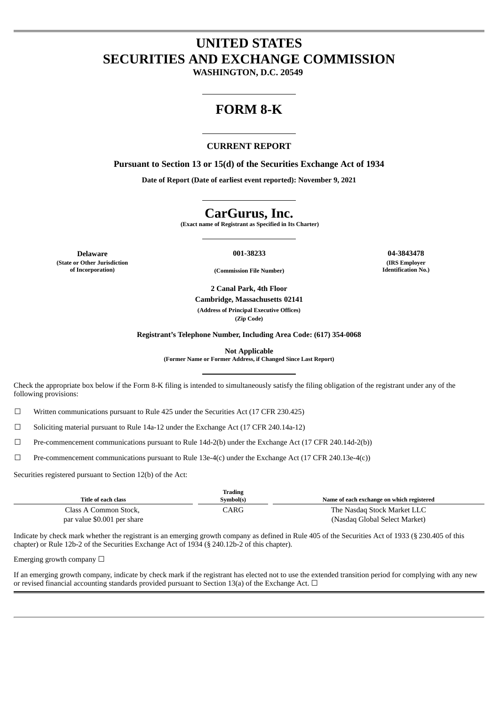## **UNITED STATES SECURITIES AND EXCHANGE COMMISSION**

**WASHINGTON, D.C. 20549**

## **FORM 8-K**

#### **CURRENT REPORT**

**Pursuant to Section 13 or 15(d) of the Securities Exchange Act of 1934**

**Date of Report (Date of earliest event reported): November 9, 2021**

## **CarGurus, Inc.**

**(Exact name of Registrant as Specified in Its Charter)**

**Delaware 001-38233 04-3843478 (State or Other Jurisdiction**

**(IRS Employer Identification No.)**

**of Incorporation) (Commission File Number)**

**2 Canal Park, 4th Floor Cambridge, Massachusetts 02141 (Address of Principal Executive Offices) (Zip Code)**

**Registrant's Telephone Number, Including Area Code: (617) 354-0068**

**Not Applicable**

**(Former Name or Former Address, if Changed Since Last Report)**

Check the appropriate box below if the Form 8-K filing is intended to simultaneously satisfy the filing obligation of the registrant under any of the following provisions:

 $\Box$  Written communications pursuant to Rule 425 under the Securities Act (17 CFR 230.425)

 $\Box$  Soliciting material pursuant to Rule 14a-12 under the Exchange Act (17 CFR 240.14a-12)

 $□$  Pre-commencement communications pursuant to Rule 14d-2(b) under the Exchange Act (17 CFR 240.14d-2(b))

☐ Pre-commencement communications pursuant to Rule 13e-4(c) under the Exchange Act (17 CFR 240.13e-4(c))

Securities registered pursuant to Section 12(b) of the Act:

|                             | <b>Trading</b> |                                           |
|-----------------------------|----------------|-------------------------------------------|
| Title of each class         | Svmbol(s)      | Name of each exchange on which registered |
| Class A Common Stock,       | <b>CARG</b>    | The Nasdag Stock Market LLC               |
| par value \$0.001 per share |                | (Nasdag Global Select Market)             |

Indicate by check mark whether the registrant is an emerging growth company as defined in Rule 405 of the Securities Act of 1933 (§ 230.405 of this chapter) or Rule 12b-2 of the Securities Exchange Act of 1934 (§ 240.12b-2 of this chapter).

Emerging growth company  $\Box$ 

If an emerging growth company, indicate by check mark if the registrant has elected not to use the extended transition period for complying with any new or revised financial accounting standards provided pursuant to Section 13(a) of the Exchange Act.  $\Box$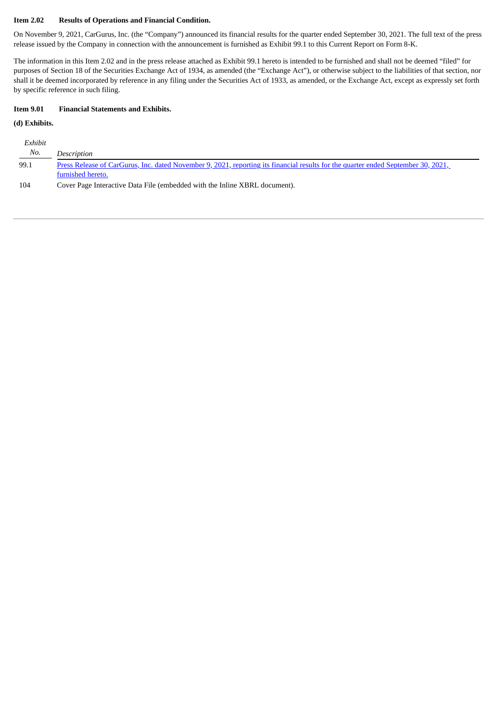#### **Item 2.02 Results of Operations and Financial Condition.**

On November 9, 2021, CarGurus, Inc. (the "Company") announced its financial results for the quarter ended September 30, 2021. The full text of the press release issued by the Company in connection with the announcement is furnished as Exhibit 99.1 to this Current Report on Form 8-K.

The information in this Item 2.02 and in the press release attached as Exhibit 99.1 hereto is intended to be furnished and shall not be deemed "filed" for purposes of Section 18 of the Securities Exchange Act of 1934, as amended (the "Exchange Act"), or otherwise subject to the liabilities of that section, nor shall it be deemed incorporated by reference in any filing under the Securities Act of 1933, as amended, or the Exchange Act, except as expressly set forth by specific reference in such filing.

#### **Item 9.01 Financial Statements and Exhibits.**

#### **(d) Exhibits.**

| Exhibit |                                                                                                                                   |
|---------|-----------------------------------------------------------------------------------------------------------------------------------|
| No.     | Description                                                                                                                       |
| 99.1    | Press Release of CarGurus, Inc. dated November 9, 2021, reporting its financial results for the quarter ended September 30, 2021, |
|         | furnished hereto.                                                                                                                 |
| 104     | Cover Page Interactive Data File (embedded with the Inline XBRL document).                                                        |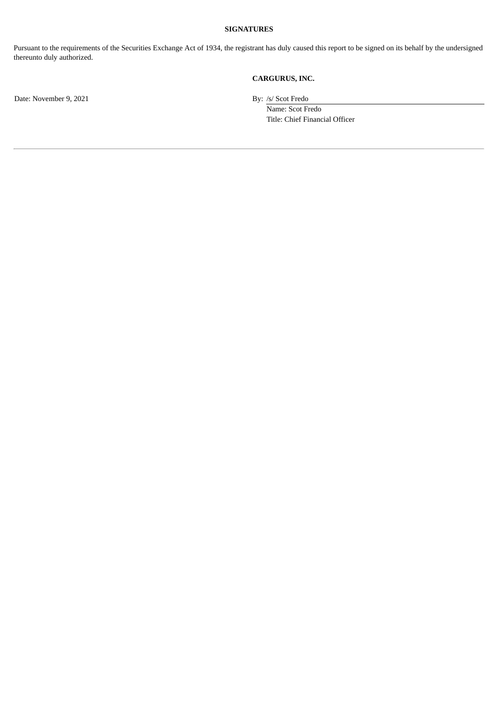#### **SIGNATURES**

Pursuant to the requirements of the Securities Exchange Act of 1934, the registrant has duly caused this report to be signed on its behalf by the undersigned thereunto duly authorized.

#### **CARGURUS, INC.**

Date: November 9, 2021 By: /s/ Scot Fredo

Name: Scot Fredo Title: Chief Financial Officer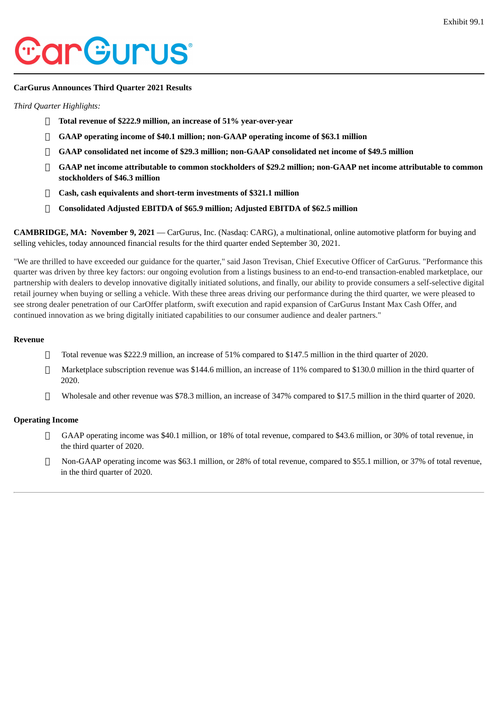# <span id="page-3-0"></span>*CarGurus*

#### **CarGurus Announces Third Quarter 2021 Results**

#### *Third Quarter Highlights:*

- **Total revenue of \$222.9 million, an increase of 51% year-over-year**
- **GAAP operating income of \$40.1 million; non-GAAP operating income of \$63.1 million**
- **GAAP consolidated net income of \$29.3 million; non-GAAP consolidated net income of \$49.5 million**
- **GAAP net income attributable to common stockholders of \$29.2 million; non-GAAP net income attributable to common stockholders of \$46.3 million**
- **Cash, cash equivalents and short-term investments of \$321.1 million**
- **Consolidated Adjusted EBITDA of \$65.9 million; Adjusted EBITDA of \$62.5 million**

**CAMBRIDGE, MA: November 9, 2021** — CarGurus, Inc. (Nasdaq: CARG), a multinational, online automotive platform for buying and selling vehicles, today announced financial results for the third quarter ended September 30, 2021.

"We are thrilled to have exceeded our guidance for the quarter," said Jason Trevisan, Chief Executive Officer of CarGurus. "Performance this quarter was driven by three key factors: our ongoing evolution from a listings business to an end-to-end transaction-enabled marketplace, our partnership with dealers to develop innovative digitally initiated solutions, and finally, our ability to provide consumers a self-selective digital retail journey when buying or selling a vehicle. With these three areas driving our performance during the third quarter, we were pleased to see strong dealer penetration of our CarOffer platform, swift execution and rapid expansion of CarGurus Instant Max Cash Offer, and continued innovation as we bring digitally initiated capabilities to our consumer audience and dealer partners."

#### **Revenue**

- Total revenue was \$222.9 million, an increase of 51% compared to \$147.5 million in the third quarter of 2020.
- Marketplace subscription revenue was \$144.6 million, an increase of 11% compared to \$130.0 million in the third quarter of 2020.
- Wholesale and other revenue was \$78.3 million, an increase of 347% compared to \$17.5 million in the third quarter of 2020.

#### **Operating Income**

- GAAP operating income was \$40.1 million, or 18% of total revenue, compared to \$43.6 million, or 30% of total revenue, in the third quarter of 2020.
- Non-GAAP operating income was \$63.1 million, or 28% of total revenue, compared to \$55.1 million, or 37% of total revenue, in the third quarter of 2020.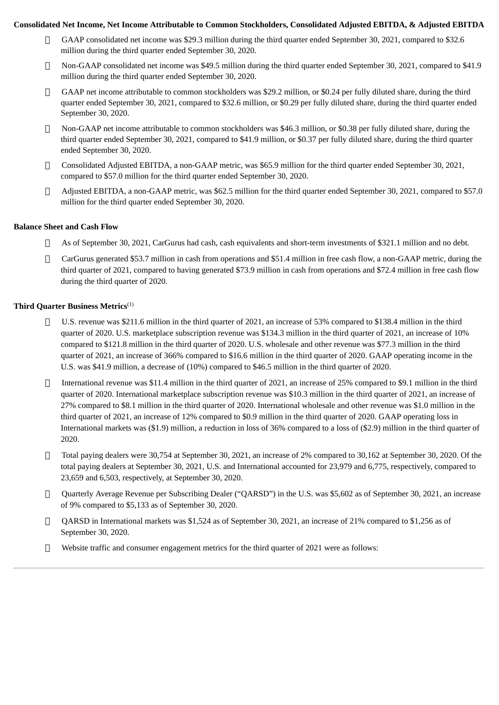#### Consolidated Net Income, Net Income Attributable to Common Stockholders, Consolidated Adjusted EBITDA, & Adjusted EBITDA

- GAAP consolidated net income was \$29.3 million during the third quarter ended September 30, 2021, compared to \$32.6 million during the third quarter ended September 30, 2020.
- Non-GAAP consolidated net income was \$49.5 million during the third quarter ended September 30, 2021, compared to \$41.9 million during the third quarter ended September 30, 2020.
- GAAP net income attributable to common stockholders was \$29.2 million, or \$0.24 per fully diluted share, during the third quarter ended September 30, 2021, compared to \$32.6 million, or \$0.29 per fully diluted share, during the third quarter ended September 30, 2020.
- Non-GAAP net income attributable to common stockholders was \$46.3 million, or \$0.38 per fully diluted share, during the third quarter ended September 30, 2021, compared to \$41.9 million, or \$0.37 per fully diluted share, during the third quarter ended September 30, 2020.
- Consolidated Adjusted EBITDA, a non-GAAP metric, was \$65.9 million for the third quarter ended September 30, 2021, compared to \$57.0 million for the third quarter ended September 30, 2020.
- Adjusted EBITDA, a non-GAAP metric, was \$62.5 million for the third quarter ended September 30, 2021, compared to \$57.0 million for the third quarter ended September 30, 2020.

#### **Balance Sheet and Cash Flow**

- As of September 30, 2021, CarGurus had cash, cash equivalents and short-term investments of \$321.1 million and no debt.
- CarGurus generated \$53.7 million in cash from operations and \$51.4 million in free cash flow, a non-GAAP metric, during the third quarter of 2021, compared to having generated \$73.9 million in cash from operations and \$72.4 million in free cash flow during the third quarter of 2020.

#### **Third Quarter Business Metrics** (1)

- U.S. revenue was \$211.6 million in the third quarter of 2021, an increase of 53% compared to \$138.4 million in the third quarter of 2020. U.S. marketplace subscription revenue was \$134.3 million in the third quarter of 2021, an increase of 10% compared to \$121.8 million in the third quarter of 2020. U.S. wholesale and other revenue was \$77.3 million in the third quarter of 2021, an increase of 366% compared to \$16.6 million in the third quarter of 2020. GAAP operating income in the U.S. was \$41.9 million, a decrease of (10%) compared to \$46.5 million in the third quarter of 2020.
- $\Box$  International revenue was \$11.4 million in the third quarter of 2021, an increase of 25% compared to \$9.1 million in the third quarter of 2020. International marketplace subscription revenue was \$10.3 million in the third quarter of 2021, an increase of 27% compared to \$8.1 million in the third quarter of 2020. International wholesale and other revenue was \$1.0 million in the third quarter of 2021, an increase of 12% compared to \$0.9 million in the third quarter of 2020. GAAP operating loss in International markets was (\$1.9) million, a reduction in loss of 36% compared to a loss of (\$2.9) million in the third quarter of 2020.
- $\Box$  Total paying dealers were 30,754 at September 30, 2021, an increase of 2% compared to 30,162 at September 30, 2020. Of the total paying dealers at September 30, 2021, U.S. and International accounted for 23,979 and 6,775, respectively, compared to 23,659 and 6,503, respectively, at September 30, 2020.
- Quarterly Average Revenue per Subscribing Dealer ("QARSD") in the U.S. was \$5,602 as of September 30, 2021, an increase of 9% compared to \$5,133 as of September 30, 2020.
- QARSD in International markets was \$1,524 as of September 30, 2021, an increase of 21% compared to \$1,256 as of September 30, 2020.
- $\Box$  Website traffic and consumer engagement metrics for the third quarter of 2021 were as follows: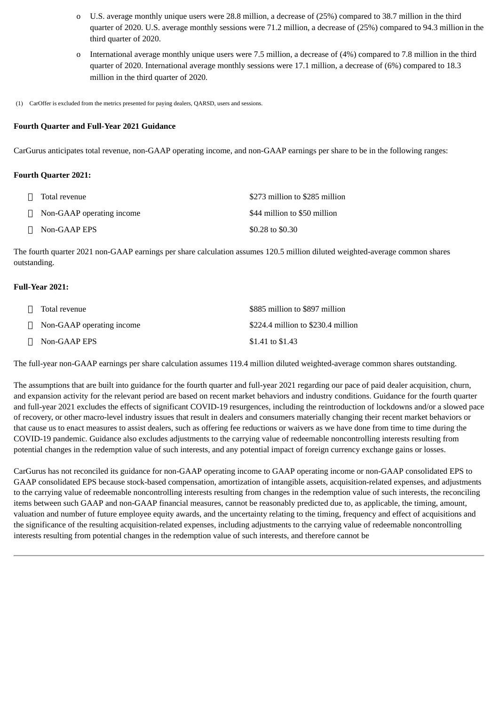- o U.S. average monthly unique users were 28.8 million, a decrease of (25%) compared to 38.7 million in the third quarter of 2020. U.S. average monthly sessions were 71.2 million, a decrease of (25%) compared to 94.3 million in the third quarter of 2020.
- o International average monthly unique users were 7.5 million, a decrease of (4%) compared to 7.8 million in the third quarter of 2020. International average monthly sessions were 17.1 million, a decrease of (6%) compared to 18.3 million in the third quarter of 2020.
- (1) CarOffer is excluded from the metrics presented for paying dealers, QARSD, users and sessions.

#### **Fourth Quarter and Full-Year 2021 Guidance**

CarGurus anticipates total revenue, non-GAAP operating income, and non-GAAP earnings per share to be in the following ranges:

#### **Fourth Quarter 2021:**

| Total revenue                    | \$273 million to \$285 million |
|----------------------------------|--------------------------------|
| $\Box$ Non-GAAP operating income | \$44 million to \$50 million   |
| $\Box$ Non-GAAP EPS              | \$0.28 to \$0.30               |

The fourth quarter 2021 non-GAAP earnings per share calculation assumes 120.5 million diluted weighted-average common shares outstanding.

#### **Full-Year 2021:**

| Π. | Total revenue                    | \$885 million to \$897 million     |
|----|----------------------------------|------------------------------------|
|    | $\Box$ Non-GAAP operating income | \$224.4 million to \$230.4 million |
|    | $\sqcap$ Non-GAAP EPS            | \$1.41 to \$1.43                   |

The full-year non-GAAP earnings per share calculation assumes 119.4 million diluted weighted-average common shares outstanding.

The assumptions that are built into guidance for the fourth quarter and full-year 2021 regarding our pace of paid dealer acquisition, churn, and expansion activity for the relevant period are based on recent market behaviors and industry conditions. Guidance for the fourth quarter and full-year 2021 excludes the effects of significant COVID-19 resurgences, including the reintroduction of lockdowns and/or a slowed pace of recovery, or other macro-level industry issues that result in dealers and consumers materially changing their recent market behaviors or that cause us to enact measures to assist dealers, such as offering fee reductions or waivers as we have done from time to time during the COVID-19 pandemic. Guidance also excludes adjustments to the carrying value of redeemable noncontrolling interests resulting from potential changes in the redemption value of such interests, and any potential impact of foreign currency exchange gains or losses.

CarGurus has not reconciled its guidance for non-GAAP operating income to GAAP operating income or non-GAAP consolidated EPS to GAAP consolidated EPS because stock-based compensation, amortization of intangible assets, acquisition-related expenses, and adjustments to the carrying value of redeemable noncontrolling interests resulting from changes in the redemption value of such interests, the reconciling items between such GAAP and non-GAAP financial measures, cannot be reasonably predicted due to, as applicable, the timing, amount, valuation and number of future employee equity awards, and the uncertainty relating to the timing, frequency and effect of acquisitions and the significance of the resulting acquisition-related expenses, including adjustments to the carrying value of redeemable noncontrolling interests resulting from potential changes in the redemption value of such interests, and therefore cannot be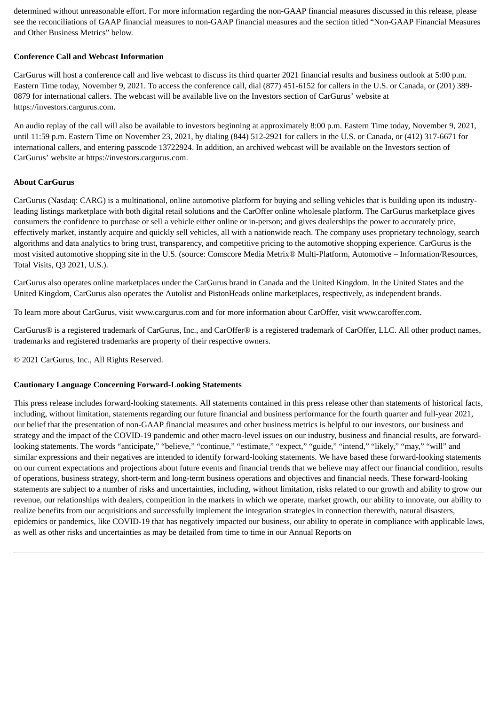determined without unreasonable effort. For more information regarding the non-GAAP financial measures discussed in this release, please see the reconciliations of GAAP financial measures to non-GAAP financial measures and the section titled "Non-GAAP Financial Measures and Other Business Metrics" below.

#### **Conference Call and Webcast Information**

CarGurus will host a conference call and live webcast to discuss its third quarter 2021 financial results and business outlook at 5:00 p.m. Eastern Time today, November 9, 2021. To access the conference call, dial (877) 451-6152 for callers in the U.S. or Canada, or (201) 389- 0879 for international callers. The webcast will be available live on the Investors section of CarGurus' website at https://investors.cargurus.com.

An audio replay of the call will also be available to investors beginning at approximately 8:00 p.m. Eastern Time today, November 9, 2021, until 11:59 p.m. Eastern Time on November 23, 2021, by dialing (844) 512-2921 for callers in the U.S. or Canada, or (412) 317-6671 for international callers, and entering passcode 13722924. In addition, an archived webcast will be available on the Investors section of CarGurus' website at https://investors.cargurus.com.

#### **About CarGurus**

CarGurus (Nasdaq: CARG) is a multinational, online automotive platform for buying and selling vehicles that is building upon its industryleading listings marketplace with both digital retail solutions and the CarOffer online wholesale platform. The CarGurus marketplace gives consumers the confidence to purchase or sell a vehicle either online or in-person; and gives dealerships the power to accurately price, effectively market, instantly acquire and quickly sell vehicles, all with a nationwide reach. The company uses proprietary technology, search algorithms and data analytics to bring trust, transparency, and competitive pricing to the automotive shopping experience. CarGurus is the most visited automotive shopping site in the U.S. (source: Comscore Media Metrix® Multi-Platform, Automotive – Information/Resources, Total Visits, Q3 2021, U.S.).

CarGurus also operates online marketplaces under the CarGurus brand in Canada and the United Kingdom. In the United States and the United Kingdom, CarGurus also operates the Autolist and PistonHeads online marketplaces, respectively, as independent brands.

To learn more about CarGurus, visit www.cargurus.com and for more information about CarOffer, visit www.caroffer.com.

CarGurus® is a registered trademark of CarGurus, Inc., and CarOffer® is a registered trademark of CarOffer, LLC. All other product names, trademarks and registered trademarks are property of their respective owners.

© 2021 CarGurus, Inc., All Rights Reserved.

#### **Cautionary Language Concerning Forward-Looking Statements**

This press release includes forward-looking statements. All statements contained in this press release other than statements of historical facts, including, without limitation, statements regarding our future financial and business performance for the fourth quarter and full-year 2021, our belief that the presentation of non-GAAP financial measures and other business metrics is helpful to our investors, our business and strategy and the impact of the COVID-19 pandemic and other macro-level issues on our industry, business and financial results, are forwardlooking statements. The words "anticipate," "believe," "continue," "estimate," "expect," "guide," "intend," "likely," "may," "will" and similar expressions and their negatives are intended to identify forward-looking statements. We have based these forward-looking statements on our current expectations and projections about future events and financial trends that we believe may affect our financial condition, results of operations, business strategy, short-term and long-term business operations and objectives and financial needs. These forward-looking statements are subject to a number of risks and uncertainties, including, without limitation, risks related to our growth and ability to grow our revenue, our relationships with dealers, competition in the markets in which we operate, market growth, our ability to innovate, our ability to realize benefits from our acquisitions and successfully implement the integration strategies in connection therewith, natural disasters, epidemics or pandemics, like COVID-19 that has negatively impacted our business, our ability to operate in compliance with applicable laws, as well as other risks and uncertainties as may be detailed from time to time in our Annual Reports on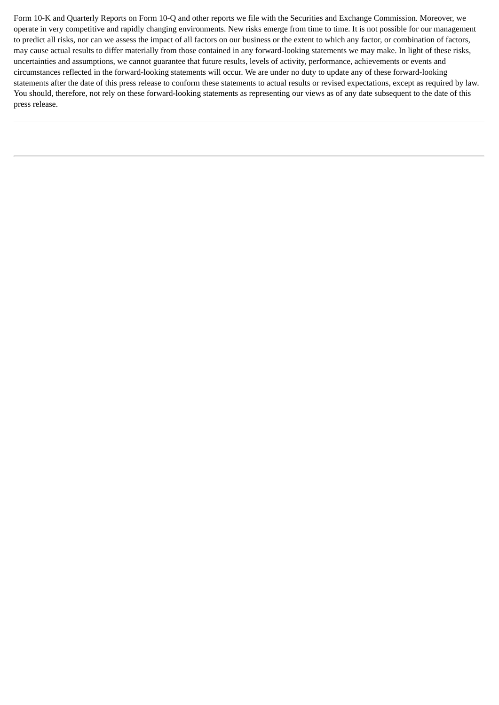Form 10-K and Quarterly Reports on Form 10-Q and other reports we file with the Securities and Exchange Commission. Moreover, we operate in very competitive and rapidly changing environments. New risks emerge from time to time. It is not possible for our management to predict all risks, nor can we assess the impact of all factors on our business or the extent to which any factor, or combination of factors, may cause actual results to differ materially from those contained in any forward-looking statements we may make. In light of these risks, uncertainties and assumptions, we cannot guarantee that future results, levels of activity, performance, achievements or events and circumstances reflected in the forward-looking statements will occur. We are under no duty to update any of these forward-looking statements after the date of this press release to conform these statements to actual results or revised expectations, except as required by law. You should, therefore, not rely on these forward-looking statements as representing our views as of any date subsequent to the date of this press release.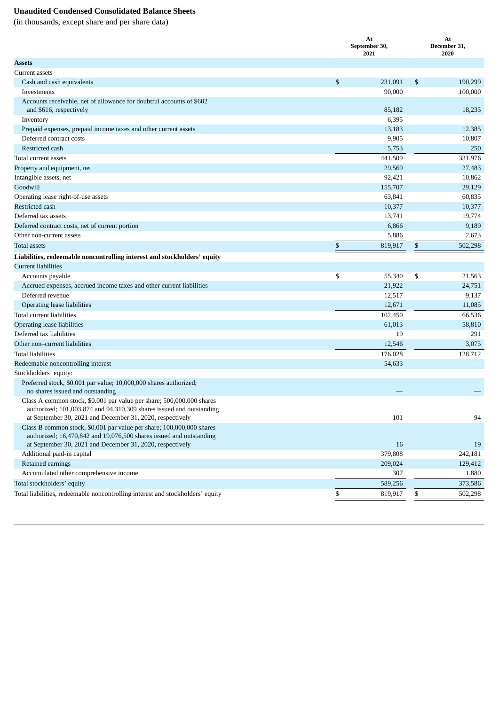#### **Unaudited Condensed Consolidated Balance Sheets**

(in thousands, except share and per share data)

|                                                                                                                                                                                                            | At<br>September 30,<br>2021 | At<br>December 31,<br>2020 |
|------------------------------------------------------------------------------------------------------------------------------------------------------------------------------------------------------------|-----------------------------|----------------------------|
| <b>Assets</b>                                                                                                                                                                                              |                             |                            |
| <b>Current assets</b>                                                                                                                                                                                      |                             |                            |
| Cash and cash equivalents                                                                                                                                                                                  | \$<br>231,091               | \$<br>190,299              |
| Investments                                                                                                                                                                                                | 90,000                      | 100,000                    |
| Accounts receivable, net of allowance for doubtful accounts of \$602<br>and \$616, respectively                                                                                                            | 85,182                      | 18,235                     |
| Inventory                                                                                                                                                                                                  | 6,395                       |                            |
| Prepaid expenses, prepaid income taxes and other current assets                                                                                                                                            | 13,183                      | 12,385                     |
| Deferred contract costs                                                                                                                                                                                    | 9,905                       | 10,807                     |
| Restricted cash                                                                                                                                                                                            | 5,753                       | 250                        |
| Total current assets                                                                                                                                                                                       | 441,509                     | 331,976                    |
| Property and equipment, net                                                                                                                                                                                | 29,569                      | 27,483                     |
| Intangible assets, net                                                                                                                                                                                     | 92,421                      | 10,862                     |
| Goodwill                                                                                                                                                                                                   | 155,707                     | 29,129                     |
| Operating lease right-of-use assets                                                                                                                                                                        | 63,841                      | 60,835                     |
| Restricted cash                                                                                                                                                                                            | 10,377                      | 10,377                     |
| Deferred tax assets                                                                                                                                                                                        | 13,741                      | 19,774                     |
| Deferred contract costs, net of current portion                                                                                                                                                            | 6,866                       | 9,189                      |
| Other non-current assets                                                                                                                                                                                   | 5,886                       | 2,673                      |
| <b>Total assets</b>                                                                                                                                                                                        | \$<br>819,917               | \$<br>502,298              |
| Liabilities, redeemable noncontrolling interest and stockholders' equity                                                                                                                                   |                             |                            |
| <b>Current liabilities</b>                                                                                                                                                                                 |                             |                            |
| Accounts payable                                                                                                                                                                                           | \$<br>55,340                | \$<br>21,563               |
| Accrued expenses, accrued income taxes and other current liabilities                                                                                                                                       | 21,922                      | 24,751                     |
| Deferred revenue                                                                                                                                                                                           | 12,517                      | 9,137                      |
| Operating lease liabilities                                                                                                                                                                                | 12,671                      | 11,085                     |
| Total current liabilities                                                                                                                                                                                  | 102,450                     | 66,536                     |
| Operating lease liabilities                                                                                                                                                                                | 61,013                      | 58,810                     |
| Deferred tax liabilities                                                                                                                                                                                   | 19                          | 291                        |
| Other non-current liabilities                                                                                                                                                                              | 12,546                      | 3,075                      |
| <b>Total liabilities</b>                                                                                                                                                                                   | 176,028                     | 128,712                    |
| Redeemable noncontrolling interest                                                                                                                                                                         | 54,633                      |                            |
| Stockholders' equity:                                                                                                                                                                                      |                             |                            |
| Preferred stock, \$0.001 par value; 10,000,000 shares authorized;<br>no shares issued and outstanding                                                                                                      |                             |                            |
| Class A common stock, \$0.001 par value per share; 500,000,000 shares<br>authorized; 101,003,874 and 94,310,309 shares issued and outstanding<br>at September 30, 2021 and December 31, 2020, respectively | 101                         | 94                         |
| Class B common stock, \$0.001 par value per share; 100,000,000 shares<br>authorized; 16,470,842 and 19,076,500 shares issued and outstanding<br>at September 30, 2021 and December 31, 2020, respectively  | 16                          | 19                         |
| Additional paid-in capital                                                                                                                                                                                 | 379,808                     | 242,181                    |
| Retained earnings                                                                                                                                                                                          | 209,024                     | 129,412                    |
| Accumulated other comprehensive income                                                                                                                                                                     | 307                         | 1,880                      |
| Total stockholders' equity                                                                                                                                                                                 | 589,256                     | 373,586                    |
| Total liabilities, redeemable noncontrolling interest and stockholders' equity                                                                                                                             | \$<br>819,917               | \$<br>502,298              |
|                                                                                                                                                                                                            |                             |                            |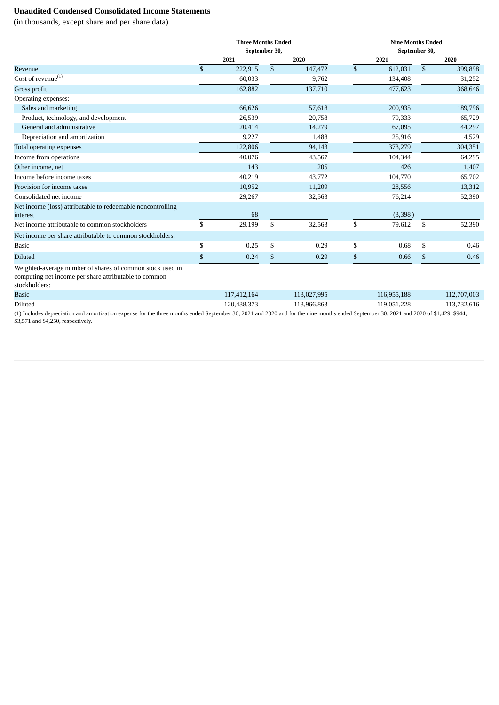#### **Unaudited Condensed Consolidated Income Statements**

(in thousands, except share and per share data)

|                                                                                                                                     | <b>Three Months Ended</b> |               | <b>Nine Months Ended</b><br>September 30, |    |             |  |  |  |  |  |  |
|-------------------------------------------------------------------------------------------------------------------------------------|---------------------------|---------------|-------------------------------------------|----|-------------|--|--|--|--|--|--|
|                                                                                                                                     | September 30,             |               |                                           |    |             |  |  |  |  |  |  |
|                                                                                                                                     | 2021                      | 2020          | 2021                                      |    | 2020        |  |  |  |  |  |  |
| Revenue                                                                                                                             | \$<br>222,915             | \$<br>147,472 | \$<br>612,031                             | \$ | 399,898     |  |  |  |  |  |  |
| Cost of revenue <sup>(1)</sup>                                                                                                      | 60,033                    | 9,762         | 134,408                                   |    | 31,252      |  |  |  |  |  |  |
| Gross profit                                                                                                                        | 162,882                   | 137,710       | 477,623                                   |    | 368,646     |  |  |  |  |  |  |
| Operating expenses:                                                                                                                 |                           |               |                                           |    |             |  |  |  |  |  |  |
| Sales and marketing                                                                                                                 | 66,626                    | 57,618        | 200,935                                   |    | 189,796     |  |  |  |  |  |  |
| Product, technology, and development                                                                                                | 26,539                    | 20,758        | 79,333                                    |    | 65,729      |  |  |  |  |  |  |
| General and administrative                                                                                                          | 20,414                    | 14,279        | 67,095                                    |    | 44,297      |  |  |  |  |  |  |
| Depreciation and amortization                                                                                                       | 9,227                     | 1,488         | 25,916                                    |    | 4,529       |  |  |  |  |  |  |
| Total operating expenses                                                                                                            | 122,806                   | 94,143        | 373,279                                   |    | 304,351     |  |  |  |  |  |  |
| Income from operations                                                                                                              | 40,076                    | 43,567        | 104,344                                   |    | 64,295      |  |  |  |  |  |  |
| Other income, net                                                                                                                   | 143                       | 205           | 426                                       |    | 1,407       |  |  |  |  |  |  |
| Income before income taxes                                                                                                          | 40,219                    | 43,772        | 104,770                                   |    | 65,702      |  |  |  |  |  |  |
| Provision for income taxes                                                                                                          | 10,952                    | 11,209        | 28,556                                    |    | 13,312      |  |  |  |  |  |  |
| Consolidated net income                                                                                                             | 29,267                    | 32,563        | 76,214                                    |    | 52,390      |  |  |  |  |  |  |
| Net income (loss) attributable to redeemable noncontrolling                                                                         |                           |               |                                           |    |             |  |  |  |  |  |  |
| interest                                                                                                                            | 68                        |               | (3,398)                                   |    |             |  |  |  |  |  |  |
| Net income attributable to common stockholders                                                                                      | \$<br>29,199              | \$<br>32,563  | \$<br>79,612                              | \$ | 52,390      |  |  |  |  |  |  |
| Net income per share attributable to common stockholders:                                                                           |                           |               |                                           |    |             |  |  |  |  |  |  |
| <b>Basic</b>                                                                                                                        | \$<br>0.25                | \$<br>0.29    | \$<br>0.68                                | \$ | 0.46        |  |  |  |  |  |  |
| <b>Diluted</b>                                                                                                                      | \$<br>0.24                | 0.29          | \$<br>0.66                                | \$ | 0.46        |  |  |  |  |  |  |
| Weighted-average number of shares of common stock used in<br>computing net income per share attributable to common<br>stockholders: |                           |               |                                           |    |             |  |  |  |  |  |  |
| <b>Basic</b>                                                                                                                        | 117,412,164               | 113,027,995   | 116,955,188                               |    | 112,707,003 |  |  |  |  |  |  |
| Diluted                                                                                                                             | 120,438,373               | 113.966.863   | 119,051,228                               |    | 113,732,616 |  |  |  |  |  |  |

(1) Includes depreciation and amortization expense for the three months ended September 30, 2021 and 2020 and for the nine months ended September 30, 2021 and 2020 of \$1,429, \$944, \$3,571 and \$4,250, respectively.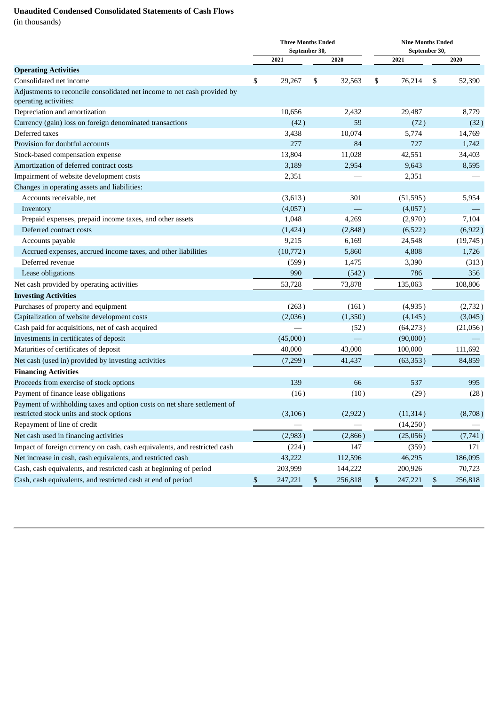### **Unaudited Condensed Consolidated Statements of Cash Flows**

(in thousands)

|                                                                                                   | <b>Three Months Ended</b><br>September 30, |               |    | <b>Nine Months Ended</b><br>September 30, |    |          |
|---------------------------------------------------------------------------------------------------|--------------------------------------------|---------------|----|-------------------------------------------|----|----------|
|                                                                                                   | 2021                                       | 2020          |    | 2021                                      |    | 2020     |
| <b>Operating Activities</b>                                                                       |                                            |               |    |                                           |    |          |
| Consolidated net income                                                                           | \$<br>29,267                               | \$<br>32,563  | \$ | 76,214                                    | \$ | 52,390   |
| Adjustments to reconcile consolidated net income to net cash provided by<br>operating activities: |                                            |               |    |                                           |    |          |
| Depreciation and amortization                                                                     | 10,656                                     | 2,432         |    | 29,487                                    |    | 8,779    |
| Currency (gain) loss on foreign denominated transactions                                          | (42)                                       | 59            |    | (72)                                      |    | (32)     |
| Deferred taxes                                                                                    | 3,438                                      | 10,074        |    | 5,774                                     |    | 14,769   |
| Provision for doubtful accounts                                                                   | 277                                        | 84            |    | 727                                       |    | 1,742    |
| Stock-based compensation expense                                                                  | 13,804                                     | 11,028        |    | 42,551                                    |    | 34,403   |
| Amortization of deferred contract costs                                                           | 3,189                                      | 2,954         |    | 9,643                                     |    | 8,595    |
| Impairment of website development costs                                                           | 2,351                                      |               |    | 2,351                                     |    |          |
| Changes in operating assets and liabilities:                                                      |                                            |               |    |                                           |    |          |
| Accounts receivable, net                                                                          | (3,613)                                    | 301           |    | (51, 595)                                 |    | 5,954    |
| Inventory                                                                                         | (4,057)                                    |               |    | (4,057)                                   |    |          |
| Prepaid expenses, prepaid income taxes, and other assets                                          | 1,048                                      | 4,269         |    | (2,970)                                   |    | 7,104    |
| Deferred contract costs                                                                           | (1,424)                                    | (2,848)       |    | (6,522)                                   |    | (6,922)  |
| Accounts payable                                                                                  | 9,215                                      | 6,169         |    | 24,548                                    |    | (19,745) |
| Accrued expenses, accrued income taxes, and other liabilities                                     | (10,772)                                   | 5,860         |    | 4,808                                     |    | 1,726    |
| Deferred revenue                                                                                  | (599)                                      | 1,475         |    | 3,390                                     |    | (313)    |
| Lease obligations                                                                                 | 990                                        | (542)         |    | 786                                       |    | 356      |
| Net cash provided by operating activities                                                         | 53,728                                     | 73,878        |    | 135,063                                   |    | 108,806  |
| <b>Investing Activities</b>                                                                       |                                            |               |    |                                           |    |          |
| Purchases of property and equipment                                                               | (263)                                      | (161)         |    | (4,935)                                   |    | (2,732)  |
| Capitalization of website development costs                                                       | (2,036)                                    | (1,350)       |    | (4, 145)                                  |    | (3,045)  |
| Cash paid for acquisitions, net of cash acquired                                                  |                                            | (52)          |    | (64,273)                                  |    | (21,056) |
| Investments in certificates of deposit                                                            | (45,000)                                   |               |    | (90,000)                                  |    |          |
| Maturities of certificates of deposit                                                             | 40,000                                     | 43,000        |    | 100,000                                   |    | 111,692  |
| Net cash (used in) provided by investing activities                                               | (7,299)                                    | 41,437        |    | (63, 353)                                 |    | 84,859   |
| <b>Financing Activities</b>                                                                       |                                            |               |    |                                           |    |          |
| Proceeds from exercise of stock options                                                           | 139                                        | 66            |    | 537                                       |    | 995      |
| Payment of finance lease obligations                                                              | (16)                                       | (10)          |    | (29)                                      |    | (28)     |
| Payment of withholding taxes and option costs on net share settlement of                          |                                            |               |    |                                           |    |          |
| restricted stock units and stock options                                                          | (3, 106)                                   | (2,922)       |    | (11, 314)                                 |    | (8,708)  |
| Repayment of line of credit                                                                       |                                            |               |    | (14,250)                                  |    |          |
| Net cash used in financing activities                                                             | (2,983)                                    | (2,866)       |    | (25,056)                                  |    | (7, 741) |
| Impact of foreign currency on cash, cash equivalents, and restricted cash                         | (224)                                      | 147           |    | (359)                                     |    | 171      |
| Net increase in cash, cash equivalents, and restricted cash                                       | 43,222                                     | 112,596       |    | 46,295                                    |    | 186,095  |
| Cash, cash equivalents, and restricted cash at beginning of period                                | 203,999                                    | 144,222       |    | 200,926                                   |    | 70,723   |
| Cash, cash equivalents, and restricted cash at end of period                                      | \$<br>247,221                              | \$<br>256,818 | \$ | 247,221                                   | \$ | 256,818  |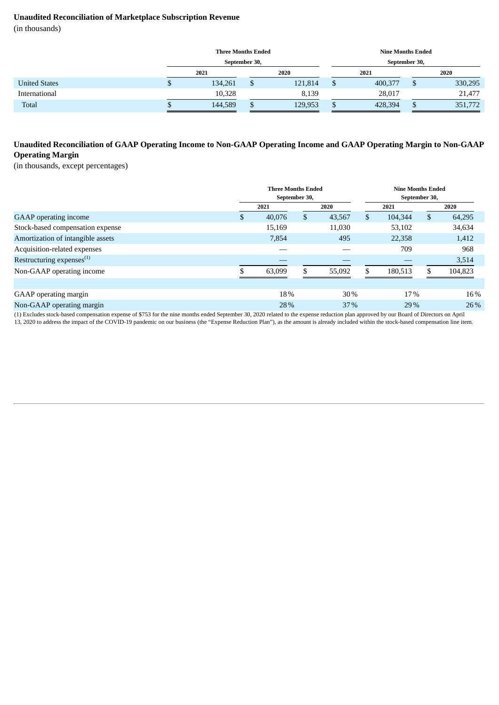#### **Unaudited Reconciliation of Marketplace Subscription Revenue**

(in thousands)

|                      |    | <b>Three Months Ended</b> |               |         |  | <b>Nine Months Ended</b> |              |         |  |  |  |
|----------------------|----|---------------------------|---------------|---------|--|--------------------------|--------------|---------|--|--|--|
|                      |    |                           | September 30, |         |  | September 30,            |              |         |  |  |  |
|                      |    | 2021                      | 2020          |         |  | 2021                     |              | 2020    |  |  |  |
| <b>United States</b> | Φ  | 134,261                   | D             | 121,814 |  | 400,377                  |              | 330,295 |  |  |  |
| International        |    | 10,328                    |               | 8,139   |  | 28,017                   |              | 21,477  |  |  |  |
| Total                | ۰D | 144,589                   | D             | 129,953 |  | 428,394                  | 351,772<br>╜ |         |  |  |  |

#### Unaudited Reconciliation of GAAP Operating Income to Non-GAAP Operating Income and GAAP Operating Margin to Non-GAAP **Operating Margin**

(in thousands, except percentages)

|                                       | <b>Three Months Ended</b><br>September 30, |     |        | <b>Nine Months Ended</b><br>September 30, |         |    |         |  |  |  |
|---------------------------------------|--------------------------------------------|-----|--------|-------------------------------------------|---------|----|---------|--|--|--|
|                                       | 2021                                       |     | 2020   |                                           | 2021    |    | 2020    |  |  |  |
| <b>GAAP</b> operating income          | \$<br>40,076                               | \$  | 43,567 | \$                                        | 104,344 | \$ | 64,295  |  |  |  |
| Stock-based compensation expense      | 15,169                                     |     | 11,030 |                                           | 53,102  |    | 34,634  |  |  |  |
| Amortization of intangible assets     | 7,854                                      |     | 495    |                                           | 22,358  |    | 1,412   |  |  |  |
| Acquisition-related expenses          |                                            |     |        |                                           | 709     |    | 968     |  |  |  |
| Restructuring expenses <sup>(1)</sup> |                                            |     |        |                                           |         |    | 3,514   |  |  |  |
| Non-GAAP operating income             | 63,099                                     | S   | 55,092 | \$.                                       | 180,513 | \$ | 104,823 |  |  |  |
|                                       |                                            |     |        |                                           |         |    |         |  |  |  |
| GAAP operating margin                 | 18%                                        |     | $30\%$ |                                           | 17%     |    | 16%     |  |  |  |
| Non-GAAP operating margin             |                                            | 28% |        |                                           | 29%     |    | 26 %    |  |  |  |
|                                       |                                            |     |        |                                           |         |    |         |  |  |  |

(1) Excludes stock-based compensation expense of \$753 for the nine months ended September 30, 2020 related to the expense reduction plan approved by our Board of Directors on April 13, 2020 to address the impact of the COVID-19 pandemic on our business (the "Expense Reduction Plan"), as the amount is already included within the stock-based compensation line item.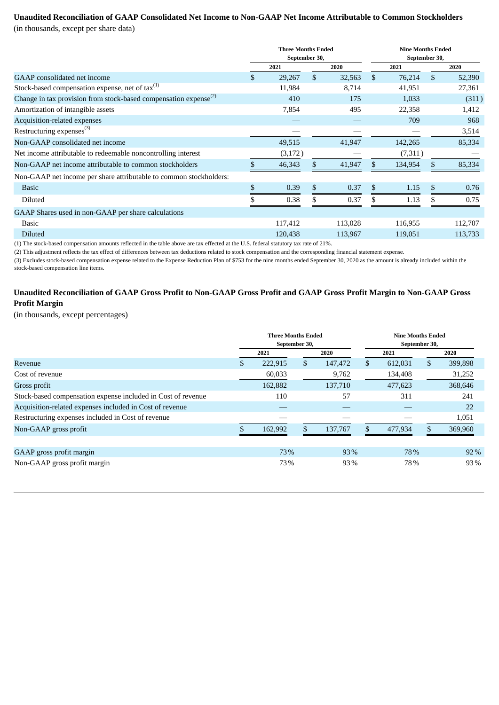## **Unaudited Reconciliation of GAAP Consolidated Net Income to Non-GAAP Net Income Attributable to Common Stockholders**

(in thousands, except per share data)

| 2021         |              | 2020    |                                            | 2021    |    | 2020                                      |
|--------------|--------------|---------|--------------------------------------------|---------|----|-------------------------------------------|
| \$<br>29,267 | $\mathbb{S}$ | 32,563  | \$                                         | 76,214  | \$ | 52,390                                    |
| 11,984       |              | 8,714   |                                            | 41,951  |    | 27,361                                    |
| 410          |              | 175     |                                            | 1,033   |    | (311)                                     |
| 7,854        |              | 495     |                                            | 22,358  |    | 1,412                                     |
|              |              |         |                                            | 709     |    | 968                                       |
|              |              |         |                                            |         |    | 3,514                                     |
| 49,515       |              | 41,947  |                                            | 142,265 |    | 85,334                                    |
| (3,172)      |              |         |                                            | (7,311) |    |                                           |
| \$<br>46,343 | \$           | 41,947  | \$.                                        | 134,954 |    | 85,334                                    |
|              |              |         |                                            |         |    |                                           |
| \$<br>0.39   | \$           | 0.37    | \$.                                        | 1.15    | \$ | 0.76                                      |
| 0.38         |              | 0.37    |                                            | 1.13    |    | 0.75                                      |
|              |              |         |                                            |         |    |                                           |
| 117,412      |              | 113,028 |                                            | 116,955 |    | 112,707                                   |
| 120,438      |              | 113,967 |                                            | 119,051 |    | 113,733                                   |
|              |              |         | <b>Three Months Ended</b><br>September 30, |         |    | <b>Nine Months Ended</b><br>September 30, |

(1) The stock-based compensation amounts reflected in the table above are tax effected at the U.S. federal statutory tax rate of 21%.

(2) This adjustment reflects the tax effect of differences between tax deductions related to stock compensation and the corresponding financial statement expense.

(3) Excludes stock-based compensation expense related to the Expense Reduction Plan of \$753 for the nine months ended September 30, 2020 as the amount is already included within the stock-based compensation line items.

#### Unaudited Reconciliation of GAAP Gross Profit to Non-GAAP Gross Profit and GAAP Gross Profit Margin to Non-GAAP Gross **Profit Margin**

(in thousands, except percentages)

|                                                              |   | <b>Three Months Ended</b> | September 30, |         | <b>Nine Months Ended</b><br>September 30, |         |     |         |  |  |  |
|--------------------------------------------------------------|---|---------------------------|---------------|---------|-------------------------------------------|---------|-----|---------|--|--|--|
|                                                              |   | 2021                      |               | 2020    |                                           | 2021    |     | 2020    |  |  |  |
| Revenue                                                      | S | 222,915                   | \$            | 147,472 | $\mathbb{S}$                              | 612,031 | \$  | 399,898 |  |  |  |
| Cost of revenue                                              |   | 60,033                    |               | 9,762   |                                           | 134,408 |     | 31,252  |  |  |  |
| Gross profit                                                 |   | 162,882                   |               | 137,710 |                                           | 477,623 |     | 368,646 |  |  |  |
| Stock-based compensation expense included in Cost of revenue |   | 110                       |               | 57      |                                           | 311     |     | 241     |  |  |  |
| Acquisition-related expenses included in Cost of revenue     |   |                           |               |         |                                           |         |     | 22      |  |  |  |
| Restructuring expenses included in Cost of revenue           |   |                           |               |         |                                           |         |     | 1,051   |  |  |  |
| Non-GAAP gross profit                                        |   | 162,992                   | \$            | 137,767 | $\mathcal{S}$                             | 477,934 | \$. | 369,960 |  |  |  |
|                                                              |   |                           |               |         |                                           |         |     |         |  |  |  |
| GAAP gross profit margin                                     |   | 73%                       |               | 93%     |                                           | 78%     |     | $92\%$  |  |  |  |
| Non-GAAP gross profit margin                                 |   | 73%                       |               | 93%     |                                           | 78%     |     | 93%     |  |  |  |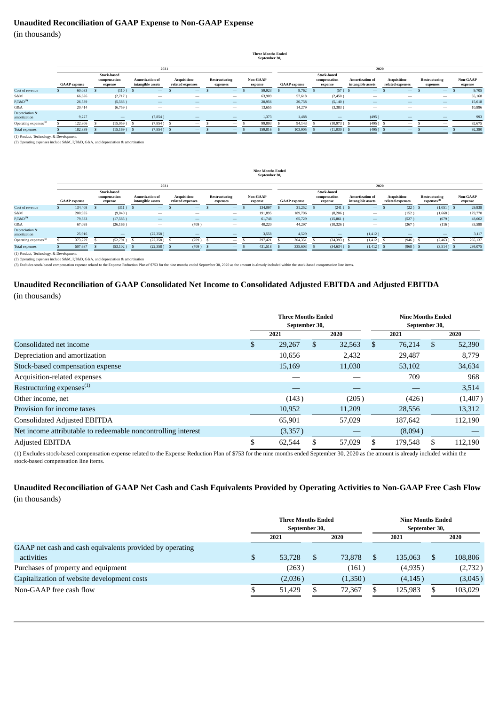#### **Unaudited Reconciliation of GAAP Expense to Non-GAAP Expense**

(in thousands)

|                                      |                     |         |  |                                               |  |                                             |                                  |                                 |                           |                                 |                     | <b>Three Months Ended</b><br>September 30, |                     |         |                                               |               |                                             |                          |                                         |                                 |                           |                                 |                     |        |  |  |
|--------------------------------------|---------------------|---------|--|-----------------------------------------------|--|---------------------------------------------|----------------------------------|---------------------------------|---------------------------|---------------------------------|---------------------|--------------------------------------------|---------------------|---------|-----------------------------------------------|---------------|---------------------------------------------|--------------------------|-----------------------------------------|---------------------------------|---------------------------|---------------------------------|---------------------|--------|--|--|
|                                      |                     | 2021    |  |                                               |  |                                             |                                  |                                 |                           |                                 |                     |                                            | 2020                |         |                                               |               |                                             |                          |                                         |                                 |                           |                                 |                     |        |  |  |
|                                      | <b>GAAP</b> expense |         |  | <b>Stock-based</b><br>compensation<br>expense |  | <b>Amortization of</b><br>intangible assets | Acquisition-<br>related expenses |                                 | Restructuring<br>expenses |                                 | Non-GAAP<br>expense |                                            | <b>GAAP</b> expense |         | <b>Stock-based</b><br>compensation<br>expense |               | <b>Amortization of</b><br>intangible assets |                          | <b>Acquisition-</b><br>related expenses |                                 | Restructuring<br>expenses |                                 | Non-GAAP<br>expense |        |  |  |
| Cost of revenue                      |                     | 60,033  |  | $(110)$ S                                     |  | $\qquad \qquad -$                           |                                  | $\overline{\phantom{a}}$        |                           | $\hspace{0.1mm}-\hspace{0.1mm}$ | - 5                 | 59,923                                     | -5                  | 9,762   |                                               | $(57)$ \$     |                                             | $\qquad \qquad$          |                                         | $\overline{\phantom{a}}$        |                           | $\sim$                          | - 5                 | 9,705  |  |  |
| S&M                                  |                     | 66,626  |  | (2,717)                                       |  | $\hspace{0.05cm}$                           |                                  | $\hspace{0.05cm}$               |                           | $\hspace{0.1mm}-\hspace{0.1mm}$ |                     | 63,909                                     |                     | 57,618  |                                               | (2,450)       |                                             | $\hspace{0.05cm}$        |                                         | $\hspace{0.05cm}$               |                           | $\hspace{0.1mm}-\hspace{0.1mm}$ |                     | 55,168 |  |  |
| $P, T\&D^{(1)}$                      |                     | 26,539  |  | (5,583)                                       |  | $\qquad \qquad -$                           |                                  | $\hspace{0.1mm}-\hspace{0.1mm}$ |                           | $\hspace{0.1mm}-\hspace{0.1mm}$ |                     | 20,956                                     |                     | 20,758  |                                               | (5, 140)      |                                             | $\qquad \qquad$          |                                         | $\hspace{0.1mm}-\hspace{0.1mm}$ |                           | $\hspace{0.1mm}-\hspace{0.1mm}$ |                     | 15,618 |  |  |
| G&A                                  |                     | 20,414  |  | (6,759)                                       |  | $\hspace{0.05cm}$                           |                                  | $\hspace{0.05cm}$               |                           | $\hspace{0.1mm}-\hspace{0.1mm}$ |                     | 13,655                                     |                     | 14,279  |                                               | (3,383)       |                                             | $\overline{\phantom{a}}$ |                                         | $\hspace{0.05cm}$               |                           | $\hspace{0.1mm}-\hspace{0.1mm}$ |                     | 10,896 |  |  |
| Depreciation &<br>amortization       |                     | 9,227   |  | $\overline{\phantom{a}}$                      |  | (7,854)                                     |                                  | -                               |                           | $\overline{\phantom{a}}$        |                     | 1,373                                      |                     | 1,488   |                                               |               |                                             | (495)                    |                                         | -                               |                           |                                 |                     | 993    |  |  |
| Operating expenses <sup>(2)</sup>    |                     | 122,806 |  | (15,059)                                      |  | (7,854)                                     | - 8                              | $\overline{\phantom{a}}$        |                           | $\hspace{0.05cm}$               |                     | 99,893                                     |                     | 94,143  |                                               | $(10,973)$ \$ |                                             | (495)                    |                                         | $\overline{\phantom{a}}$        |                           | $\hspace{0.05cm}$               |                     | 82,675 |  |  |
| <b>Total expenses</b>                |                     | 182,839 |  | (15, 169)                                     |  | (7,854)                                     | - S                              | $\overline{\phantom{a}}$        |                           | $\hspace{0.1mm}-\hspace{0.1mm}$ |                     | 159,816                                    |                     | 103,905 |                                               | $(11,030)$ \$ |                                             | $(495)$ \$               |                                         | $\overline{\phantom{a}}$        |                           | $\sim$                          |                     | 92,380 |  |  |
| (1) Product Technology & Development |                     |         |  |                                               |  |                                             |                                  |                                 |                           |                                 |                     |                                            |                     |         |                                               |               |                                             |                          |                                         |                                 |                           |                                 |                     |        |  |  |

(1) Product, Technology, & Development (2) Operating expenses include S&M, P,T&D, G&A, and depreciation & amortization

|                                   |                     | September 30, |                                               |                   |                                             |                                       |                                         |                                 |  |                                 |  |                            |  |                     |  |                                               |  |                                             |  |                                         |    |                                                 |  |                            |  |
|-----------------------------------|---------------------|---------------|-----------------------------------------------|-------------------|---------------------------------------------|---------------------------------------|-----------------------------------------|---------------------------------|--|---------------------------------|--|----------------------------|--|---------------------|--|-----------------------------------------------|--|---------------------------------------------|--|-----------------------------------------|----|-------------------------------------------------|--|----------------------------|--|
|                                   |                     | 2021          |                                               |                   |                                             |                                       |                                         |                                 |  |                                 |  | 2020                       |  |                     |  |                                               |  |                                             |  |                                         |    |                                                 |  |                            |  |
|                                   | <b>GAAP</b> expense |               | <b>Stock-based</b><br>compensation<br>expense |                   | <b>Amortization of</b><br>intangible assets |                                       | <b>Acquisition-</b><br>related expenses |                                 |  | Restructuring<br>expenses       |  | <b>Non-GAAP</b><br>expense |  | <b>GAAP</b> expense |  | <b>Stock-based</b><br>compensation<br>expense |  | <b>Amortization of</b><br>intangible assets |  | <b>Acquisition-</b><br>related expenses |    | <b>Restructuring</b><br>expenses <sup>(3)</sup> |  | <b>Non-GAAP</b><br>expense |  |
| Cost of revenue                   |                     | 134,408       |                                               | $(311)$ \$        |                                             | $\overline{\phantom{a}}$              |                                         | $\overline{\phantom{a}}$        |  | $\hspace{0.1mm}-\hspace{0.1mm}$ |  | 134,097                    |  | 31,252              |  | $(241)$ \$                                    |  | $\qquad \qquad$                             |  | (22)                                    | -S | $(1,051)$ \$                                    |  | 29,938                     |  |
| S&M                               |                     | 200,935       |                                               | (9,040)           |                                             | $\hspace{0.05cm}$                     |                                         | $\hspace{0.5cm}$                |  | $\hspace{0.05cm}$               |  | 191,895                    |  | 189,796             |  | (8,206)                                       |  | $\hspace{0.05cm}$                           |  | (152)                                   |    | (1,668)                                         |  | 179,770                    |  |
| $P, T\&D^{(1)}$                   |                     | 79,333        |                                               | (17, 585)         |                                             | $\hspace{0.1mm}-\hspace{0.1mm}$       |                                         | $\hspace{0.1mm}-\hspace{0.1mm}$ |  | $\hspace{0.1mm}-\hspace{0.1mm}$ |  | 61,748                     |  | 65,729              |  | (15,861)                                      |  | $\qquad \qquad$                             |  | (527)                                   |    | (679)                                           |  | 48,662                     |  |
| G&A                               |                     | 67,095        |                                               | (26, 166)         |                                             | $\hspace{1.0cm} \rule{1.5cm}{0.15cm}$ |                                         | (709)                           |  | $\hspace{0.05cm}$               |  | 40,220                     |  | 44,297              |  | (10, 326)                                     |  | $\hspace{0.05cm}$                           |  | (267)                                   |    | (116)                                           |  | 33,588                     |  |
| Depreciation &<br>amortization    |                     | 25,916        |                                               | $\qquad \qquad -$ |                                             | (22, 358)                             |                                         | $\overline{\phantom{a}}$        |  |                                 |  | 3,558                      |  | 4,529               |  |                                               |  | (1, 412)                                    |  |                                         |    |                                                 |  | 3,117                      |  |
| Operating expenses <sup>(2)</sup> |                     | 373,279       |                                               | (52,791)          |                                             | (22, 358)                             |                                         | (709)                           |  | $\hspace{0.05cm}$               |  | 297,421                    |  | 304,351             |  | $(34,393)$ \$                                 |  | $(1, 412)$ \$                               |  | (946)                                   |    | (2,463)                                         |  | 265,137                    |  |
| <b>Total expenses</b>             |                     | 507,687       |                                               | (53, 102)         |                                             | (22,358)                              |                                         | (709)                           |  | $\overline{\phantom{a}}$        |  | 431,518                    |  | 335,603             |  | $(34,634)$ \$                                 |  | $(1,412)$ \$                                |  | (968)                                   |    | $(3,514)$ \$                                    |  | 295,075                    |  |
|                                   | ___                 |               |                                               |                   |                                             |                                       |                                         |                                 |  |                                 |  |                            |  |                     |  |                                               |  |                                             |  |                                         |    |                                                 |  |                            |  |

(1) Product, Technology, & Development (2) Operating expenses include S&M, P,T&D, G&A, and depreciation & amortization

(3) Excludes stock-based compensation expense related to the Expense Reduction Plan of \$753 for the nine months ended September 30, 2020 as the amount is already included within the stock-based compensation line items.<br>(3)

# **Unaudited Reconciliation of GAAP Consolidated Net Income to Consolidated Adjusted EBITDA and Adjusted EBITDA**

(in thousands)

|                                                               |    | <b>Three Months Ended</b><br>September 30, |               | <b>Nine Months Ended</b><br>September 30, |         |              |         |  |  |
|---------------------------------------------------------------|----|--------------------------------------------|---------------|-------------------------------------------|---------|--------------|---------|--|--|
|                                                               |    | 2021                                       | 2020          |                                           | 2021    |              | 2020    |  |  |
| Consolidated net income                                       | S. | 29,267                                     | \$<br>32,563  | \$.                                       | 76,214  | <sup>S</sup> | 52,390  |  |  |
| Depreciation and amortization                                 |    | 10,656                                     | 2,432         |                                           | 29,487  |              | 8,779   |  |  |
| Stock-based compensation expense                              |    | 15,169                                     | 11,030        |                                           | 53,102  |              | 34,634  |  |  |
| Acquisition-related expenses                                  |    |                                            |               |                                           | 709     |              | 968     |  |  |
| Restructuring expenses $(1)$                                  |    |                                            |               |                                           |         |              | 3,514   |  |  |
| Other income, net                                             |    | (143)                                      | (205)         |                                           | (426)   |              | (1,407) |  |  |
| Provision for income taxes                                    |    | 10,952                                     | 11,209        |                                           | 28,556  |              | 13,312  |  |  |
| Consolidated Adjusted EBITDA                                  |    | 65,901                                     | 57,029        |                                           | 187,642 |              | 112,190 |  |  |
| Net income attributable to redeemable noncontrolling interest |    | (3,357)                                    |               |                                           | (8,094) |              |         |  |  |
| <b>Adjusted EBITDA</b>                                        |    | 62,544                                     | 57,029        |                                           | 179.548 |              | 112,190 |  |  |
| .<br>$\mathbf{r}$ $\mathbf{r}$ $\mathbf{r}$                   |    |                                            | <b>00.000</b> |                                           |         |              |         |  |  |

(1) Excludes stock-based compensation expense related to the Expense Reduction Plan of \$753 for the nine months ended September 30, 2020 as the amount is already included within the stock-based compensation line items.

#### Unaudited Reconciliation of GAAP Net Cash and Cash Equivalents Provided by Operating Activities to Non-GAAP Free Cash Flow (in thousands)

|                                                          | <b>Three Months Ended</b><br>September 30, |              |          | <b>Nine Months Ended</b><br>September 30, |         |  |  |
|----------------------------------------------------------|--------------------------------------------|--------------|----------|-------------------------------------------|---------|--|--|
|                                                          | 2021                                       | 2020         | 2021     |                                           | 2020    |  |  |
| GAAP net cash and cash equivalents provided by operating |                                            |              |          |                                           |         |  |  |
| activities                                               | \$<br>53,728                               | \$<br>73.878 | 135,063  |                                           | 108,806 |  |  |
| Purchases of property and equipment                      | (263)                                      | (161)        | (4,935)  |                                           | (2,732) |  |  |
| Capitalization of website development costs              | (2,036)                                    | (1,350)      | (4, 145) |                                           | (3,045) |  |  |
| Non-GAAP free cash flow                                  | 51.429                                     | 72.367       | 125.983  |                                           | 103,029 |  |  |

#### **Nine Months Ended**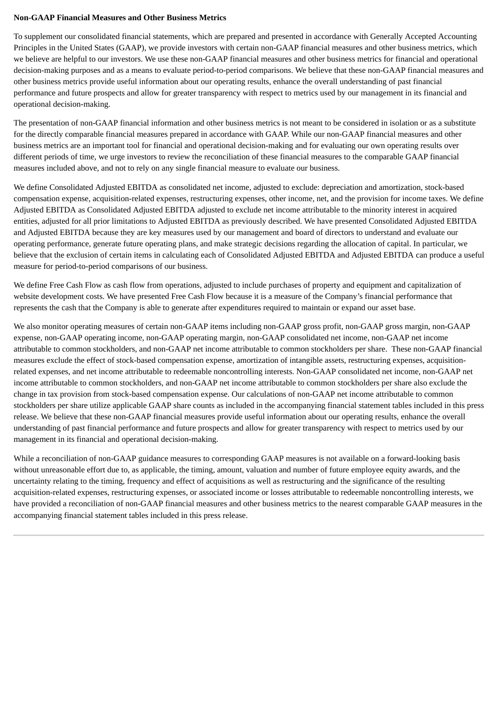#### **Non-GAAP Financial Measures and Other Business Metrics**

To supplement our consolidated financial statements, which are prepared and presented in accordance with Generally Accepted Accounting Principles in the United States (GAAP), we provide investors with certain non-GAAP financial measures and other business metrics, which we believe are helpful to our investors. We use these non-GAAP financial measures and other business metrics for financial and operational decision-making purposes and as a means to evaluate period-to-period comparisons. We believe that these non-GAAP financial measures and other business metrics provide useful information about our operating results, enhance the overall understanding of past financial performance and future prospects and allow for greater transparency with respect to metrics used by our management in its financial and operational decision-making.

The presentation of non-GAAP financial information and other business metrics is not meant to be considered in isolation or as a substitute for the directly comparable financial measures prepared in accordance with GAAP. While our non-GAAP financial measures and other business metrics are an important tool for financial and operational decision-making and for evaluating our own operating results over different periods of time, we urge investors to review the reconciliation of these financial measures to the comparable GAAP financial measures included above, and not to rely on any single financial measure to evaluate our business.

We define Consolidated Adjusted EBITDA as consolidated net income, adjusted to exclude: depreciation and amortization, stock-based compensation expense, acquisition-related expenses, restructuring expenses, other income, net, and the provision for income taxes. We define Adjusted EBITDA as Consolidated Adjusted EBITDA adjusted to exclude net income attributable to the minority interest in acquired entities, adjusted for all prior limitations to Adjusted EBITDA as previously described. We have presented Consolidated Adjusted EBITDA and Adjusted EBITDA because they are key measures used by our management and board of directors to understand and evaluate our operating performance, generate future operating plans, and make strategic decisions regarding the allocation of capital. In particular, we believe that the exclusion of certain items in calculating each of Consolidated Adjusted EBITDA and Adjusted EBITDA can produce a useful measure for period-to-period comparisons of our business.

We define Free Cash Flow as cash flow from operations, adjusted to include purchases of property and equipment and capitalization of website development costs. We have presented Free Cash Flow because it is a measure of the Company's financial performance that represents the cash that the Company is able to generate after expenditures required to maintain or expand our asset base.

We also monitor operating measures of certain non-GAAP items including non-GAAP gross profit, non-GAAP gross margin, non-GAAP expense, non-GAAP operating income, non-GAAP operating margin, non-GAAP consolidated net income, non-GAAP net income attributable to common stockholders, and non-GAAP net income attributable to common stockholders per share. These non-GAAP financial measures exclude the effect of stock-based compensation expense, amortization of intangible assets, restructuring expenses, acquisitionrelated expenses, and net income attributable to redeemable noncontrolling interests. Non-GAAP consolidated net income, non-GAAP net income attributable to common stockholders, and non-GAAP net income attributable to common stockholders per share also exclude the change in tax provision from stock-based compensation expense. Our calculations of non-GAAP net income attributable to common stockholders per share utilize applicable GAAP share counts as included in the accompanying financial statement tables included in this press release. We believe that these non-GAAP financial measures provide useful information about our operating results, enhance the overall understanding of past financial performance and future prospects and allow for greater transparency with respect to metrics used by our management in its financial and operational decision-making.

While a reconciliation of non-GAAP guidance measures to corresponding GAAP measures is not available on a forward-looking basis without unreasonable effort due to, as applicable, the timing, amount, valuation and number of future employee equity awards, and the uncertainty relating to the timing, frequency and effect of acquisitions as well as restructuring and the significance of the resulting acquisition-related expenses, restructuring expenses, or associated income or losses attributable to redeemable noncontrolling interests, we have provided a reconciliation of non-GAAP financial measures and other business metrics to the nearest comparable GAAP measures in the accompanying financial statement tables included in this press release.